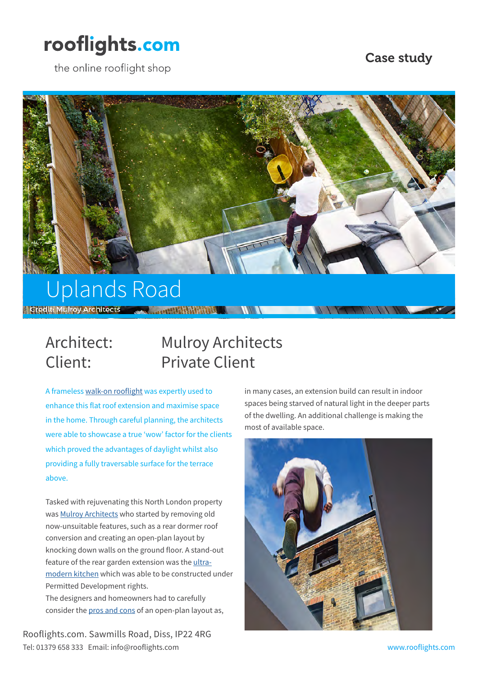# rooflights.com

the online rooflight shop

#### Case study



# Credit: Mulroy Architects 200 ...... 1999 1999 1999 1999 1999 1999

## Architect: Mulroy Architects Client: Private Client

A frameless [walk-on rooflight](https://www.rooflights.com/rooflights/walk-on-rooflight/) was expertly used to enhance this flat roof extension and maximise space in the home. Through careful planning, the architects were able to showcase a true 'wow' factor for the clients which proved the advantages of daylight whilst also providing a fully traversable surface for the terrace above.

Tasked with rejuvenating this North London property was [Mulroy Architects](http://www.mulroyarchitects.com/) who started by removing old now-unsuitable features, such as a rear dormer roof conversion and creating an open-plan layout by knocking down walls on the ground floor. A stand-out feature of the rear garden extension was the [ultra](https://www.rooflights.com/inspirational-design-ideas-for-your-kitchen-renovation/)[modern kitchen](https://www.rooflights.com/inspirational-design-ideas-for-your-kitchen-renovation/) which was able to be constructed under Permitted Development rights. The designers and homeowners had to carefully consider the [pros and cons](https://www.rooflights.com/blog/kitchen-design-ideas-to-increase-natural-daylight/) of an open-plan layout as,

Rooflights.com. Sawmills Road, Diss, IP22 4RG Tel: 01379 658 333 Email: info@rooflights.com www.rooflights.com

in many cases, an extension build can result in indoor spaces being starved of natural light in the deeper parts of the dwelling. An additional challenge is making the most of available space.

 $1111$